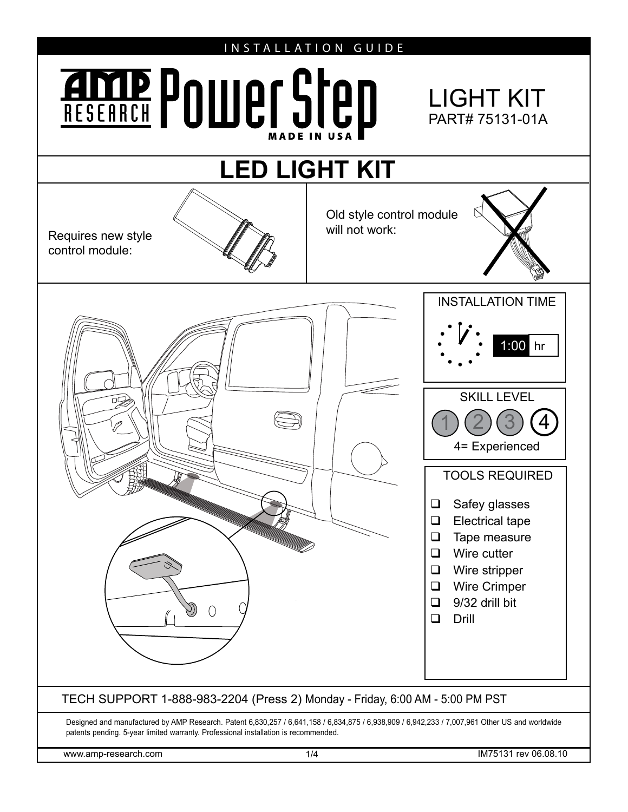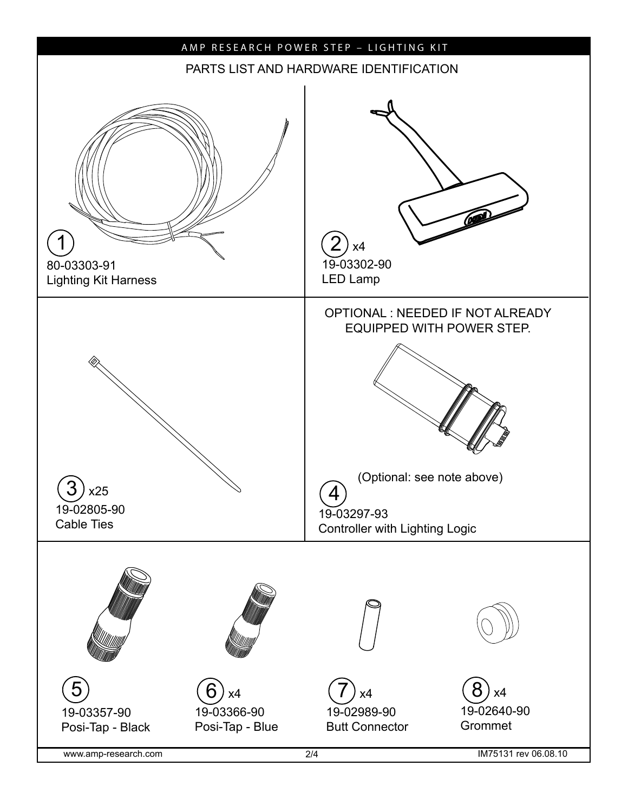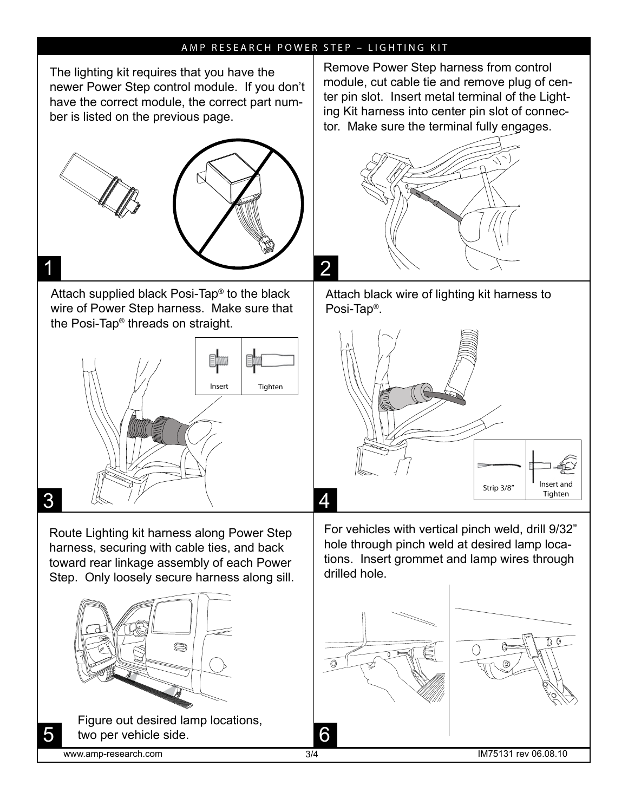## AMP RESEARCH POWER STEP – LIGHTING KIT